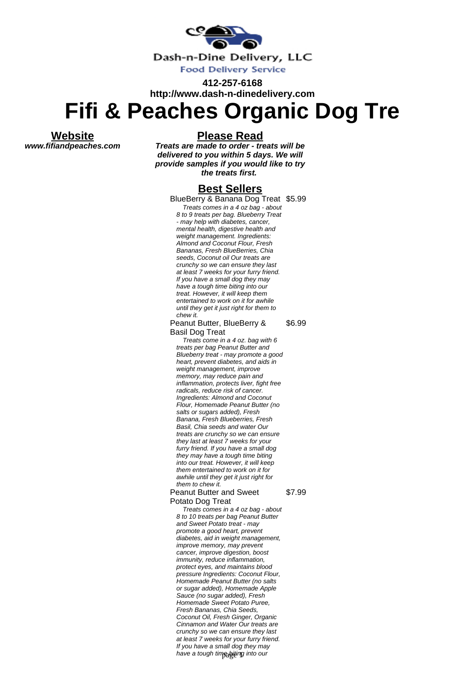

**412-257-6168 http://www.dash-n-dinedelivery.com**

## **Fifi & Peaches Organic Dog Tre**

**Website www.fifiandpeaches.com** **Please Read**

**Treats are made to order - treats will be delivered to you within 5 days. We will provide samples if you would like to try the treats first.**

## **Best Sellers**

BlueBerry & Banana Dog Treat \$5.99

Treats comes in a 4 oz bag - about 8 to 9 treats per bag. Blueberry Treat - may help with diabetes, cancer, mental health, digestive health and weight management. Ingredients: Almond and Coconut Flour, Fresh Bananas, Fresh BlueBerries, Chia seeds, Coconut oil Our treats are crunchy so we can ensure they last at least 7 weeks for your furry friend. If you have a small dog they may have a tough time biting into our treat. However, it will keep them entertained to work on it for awhile until they get it just right for them to chew it.

## Peanut Butter, BlueBerry & Basil Dog Treat \$6.99

Treats come in a 4 oz. bag with 6 treats per bag Peanut Butter and Blueberry treat - may promote a good heart, prevent diabetes, and aids in weight management, improve memory, may reduce pain and inflammation, protects liver, fight free radicals, reduce risk of cancer. Ingredients: Almond and Coconut Flour, Homemade Peanut Butter (no salts or sugars added), Fresh Banana, Fresh Blueberries, Fresh Basil, Chia seeds and water Our treats are crunchy so we can ensure they last at least 7 weeks for your furry friend. If you have a small dog they may have a tough time biting into our treat. However, it will keep them entertained to work on it for awhile until they get it just right for them to chew it.

## Peanut Butter and Sweet Potato Dog Treat

\$7.99

Treats comes in a 4 oz bag - about 8 to 10 treats per bag Peanut Butter and Sweet Potato treat - may promote a good heart, prevent diabetes, aid in weight management, improve memory, may prevent cancer, improve digestion, boost immunity, reduce inflammation, protect eyes, and maintains blood pressure Ingredients: Coconut Flour, Homemade Peanut Butter (no salts or sugar added), Homemade Apple Sauce (no sugar added), Fresh Homemade Sweet Potato Puree, Fresh Bananas, Chia Seeds, Coconut Oil, Fresh Ginger, Organic Cinnamon and Water Our treats are crunchy so we can ensure they last at least 7 weeks for your furry friend. If you have a small dog they may have a tough time biting into our